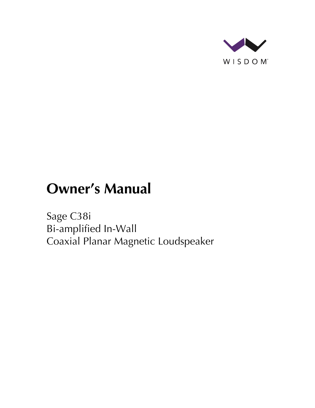

# **Owner's Manual**

Sage C38i Bi-amplified In-Wall Coaxial Planar Magnetic Loudspeaker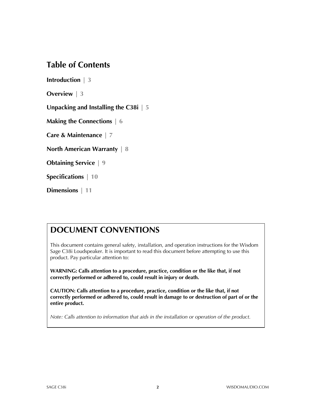### **Table of Contents**

**Introduction | 3**

**Overview | 3**

**Unpacking and Installing the C38i | 5**

**Making the Connections | 6**

**Care & Maintenance | 7**

**North American Warranty | 8**

**Obtaining Service | 9**

**Specifications | 10**

**Dimensions | 11**

### **DOCUMENT CONVENTIONS**

This document contains general safety, installation, and operation instructions for the Wisdom Sage C38i Loudspeaker. It is important to read this document before attempting to use this product. Pay particular attention to:

**WARNING: Calls attention to a procedure, practice, condition or the like that, if not correctly performed or adhered to, could result in injury or death.** 

**CAUTION: Calls attention to a procedure, practice, condition or the like that, if not correctly performed or adhered to, could result in damage to or destruction of part of or the entire product.** 

*Note: Calls attention to information that aids in the installation or operation of the product.*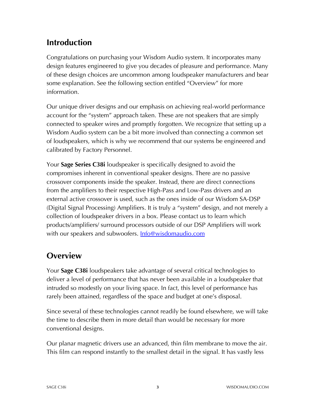# **Introduction**

Congratulations on purchasing your Wisdom Audio system. It incorporates many design features engineered to give you decades of pleasure and performance. Many of these design choices are uncommon among loudspeaker manufacturers and bear some explanation. See the following section entitled "Overview" for more information.

Our unique driver designs and our emphasis on achieving real-world performance account for the "system" approach taken. These are not speakers that are simply connected to speaker wires and promptly forgotten. We recognize that setting up a Wisdom Audio system can be a bit more involved than connecting a common set of loudspeakers, which is why we recommend that our systems be engineered and calibrated by Factory Personnel.

Your **Sage Series C38i** loudspeaker is specifically designed to avoid the compromises inherent in conventional speaker designs. There are no passive crossover components inside the speaker. Instead, there are direct connections from the amplifiers to their respective High-Pass and Low-Pass drivers and an external active crossover is used, such as the ones inside of our Wisdom SA-DSP (Digital Signal Processing) Amplifiers. It is truly a "system" design, and not merely a collection of loudspeaker drivers in a box. Please contact us to learn which products/amplifiers/ surround processors outside of our DSP Amplifiers will work with our speakers and subwoofers. **Info@wisdomaudio.com** 

# **Overview**

Your **Sage C38i** loudspeakers take advantage of several critical technologies to deliver a level of performance that has never been available in a loudspeaker that intruded so modestly on your living space. In fact, this level of performance has rarely been attained, regardless of the space and budget at one's disposal.

Since several of these technologies cannot readily be found elsewhere, we will take the time to describe them in more detail than would be necessary for more conventional designs.

Our planar magnetic drivers use an advanced, thin film membrane to move the air. This film can respond instantly to the smallest detail in the signal. It has vastly less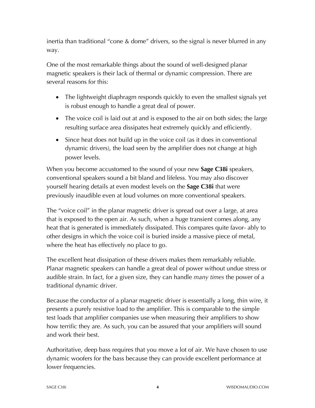inertia than traditional "cone & dome" drivers, so the signal is never blurred in any way.

One of the most remarkable things about the sound of well-designed planar magnetic speakers is their lack of thermal or dynamic compression. There are several reasons for this:

- The lightweight diaphragm responds quickly to even the smallest signals yet is robust enough to handle a great deal of power.
- The voice coil is laid out at and is exposed to the air on both sides; the large resulting surface area dissipates heat extremely quickly and efficiently.
- Since heat does not build up in the voice coil (as it does in conventional dynamic drivers), the load seen by the amplifier does not change at high power levels.

When you become accustomed to the sound of your new **Sage C38i** speakers, conventional speakers sound a bit bland and lifeless. You may also discover yourself hearing details at even modest levels on the **Sage C38i** that were previously inaudible even at loud volumes on more conventional speakers.

The "voice coil" in the planar magnetic driver is spread out over a large, at area that is exposed to the open air. As such, when a huge transient comes along, any heat that is generated is immediately dissipated. This compares quite favor- ably to other designs in which the voice coil is buried inside a massive piece of metal, where the heat has effectively no place to go.

The excellent heat dissipation of these drivers makes them remarkably reliable. Planar magnetic speakers can handle a great deal of power without undue stress or audible strain. In fact, for a given size, they can handle *many times* the power of a traditional dynamic driver.

Because the conductor of a planar magnetic driver is essentially a long, thin wire, it presents a purely resistive load to the amplifier. This is comparable to the simple test loads that amplifier companies use when measuring their amplifiers to show how terrific they are. As such, you can be assured that your amplifiers will sound and work their best.

Authoritative, deep bass requires that you move a lot of air. We have chosen to use dynamic woofers for the bass because they can provide excellent performance at lower frequencies.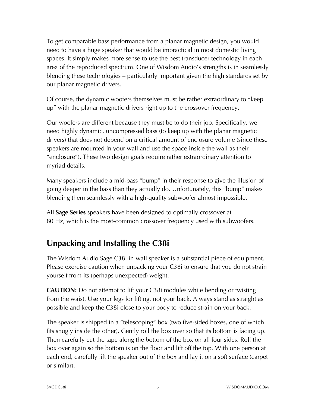To get comparable bass performance from a planar magnetic design, you would need to have a huge speaker that would be impractical in most domestic living spaces. It simply makes more sense to use the best transducer technology in each area of the reproduced spectrum. One of Wisdom Audio's strengths is in seamlessly blending these technologies – particularly important given the high standards set by our planar magnetic drivers.

Of course, the dynamic woofers themselves must be rather extraordinary to "keep up" with the planar magnetic drivers right up to the crossover frequency.

Our woofers are different because they must be to do their job. Specifically, we need highly dynamic, uncompressed bass (to keep up with the planar magnetic drivers) that does not depend on a critical amount of enclosure volume (since these speakers are mounted in your wall and use the space inside the wall as their "enclosure"). These two design goals require rather extraordinary attention to myriad details.

Many speakers include a mid-bass "bump" in their response to give the illusion of going deeper in the bass than they actually do. Unfortunately, this "bump" makes blending them seamlessly with a high-quality subwoofer almost impossible.

All **Sage Series** speakers have been designed to optimally crossover at 80 Hz, which is the most-common crossover frequency used with subwoofers.

# **Unpacking and Installing the C38i**

The Wisdom Audio Sage C38i in-wall speaker is a substantial piece of equipment. Please exercise caution when unpacking your C38i to ensure that you do not strain yourself from its (perhaps unexpected) weight.

**CAUTION:** Do not attempt to lift your C38i modules while bending or twisting from the waist. Use your legs for lifting, not your back. Always stand as straight as possible and keep the C38i close to your body to reduce strain on your back.

The speaker is shipped in a "telescoping" box (two five-sided boxes, one of which fits snugly inside the other). Gently roll the box over so that its bottom is facing up. Then carefully cut the tape along the bottom of the box on all four sides. Roll the box over again so the bottom is on the floor and lift off the top. With one person at each end, carefully lift the speaker out of the box and lay it on a soft surface (carpet or similar).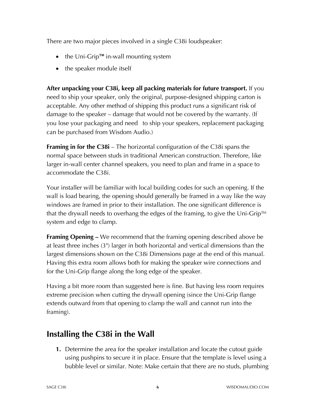There are two major pieces involved in a single C38i loudspeaker:

- the Uni-Grip™ in-wall mounting system
- the speaker module itself

**After unpacking your C38i, keep all packing materials for future transport.** If you need to ship your speaker, only the original, purpose-designed shipping carton is acceptable. Any other method of shipping this product runs a significant risk of damage to the speaker – damage that would not be covered by the warranty. (If you lose your packaging and need to ship your speakers, replacement packaging can be purchased from Wisdom Audio.)

**Framing in for the C38i** – The horizontal configuration of the C38i spans the normal space between studs in traditional American construction. Therefore, like larger in-wall center channel speakers, you need to plan and frame in a space to accommodate the C38i.

Your installer will be familiar with local building codes for such an opening. If the wall is load bearing, the opening should generally be framed in a way like the way windows are framed in prior to their installation. The one significant difference is that the drywall needs to overhang the edges of the framing, to give the Uni-Grip™ system and edge to clamp.

**Framing Opening –** We recommend that the framing opening described above be at least three inches (3") larger in both horizontal and vertical dimensions than the largest dimensions shown on the C38i Dimensions page at the end of this manual. Having this extra room allows both for making the speaker wire connections and for the Uni-Grip flange along the long edge of the speaker.

Having a bit more room than suggested here is fine. But having less room requires extreme precision when cutting the drywall opening (since the Uni-Grip flange extends outward from that opening to clamp the wall and cannot run into the framing).

# **Installing the C38i in the Wall**

**1.** Determine the area for the speaker installation and locate the cutout guide using pushpins to secure it in place. Ensure that the template is level using a bubble level or similar. Note: Make certain that there are no studs, plumbing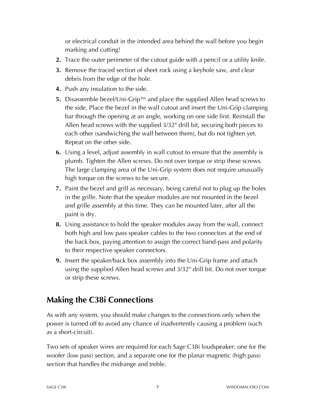or electrical conduit in the intended area behind the wall before you begin marking and cutting!

- **2.** Trace the outer perimeter of the cutout guide with a pencil or a utility knife.
- **3.** Remove the traced section of sheet rock using a keyhole saw, and clear debris from the edge of the hole.
- **4.** Push any insulation to the side.
- **5.** Disassemble bezel/Uni-Grip™ and place the supplied Allen head screws to the side. Place the bezel in the wall cutout and insert the Uni-Grip clamping bar through the opening at an angle, working on one side first. Reinstall the Allen head screws with the supplied 3/32" drill bit, securing both pieces to each other (sandwiching the wall between them), but do not tighten yet. Repeat on the other side.
- **6.** Using a level, adjust assembly in wall cutout to ensure that the assembly is plumb. Tighten the Allen screws. Do not over torque or strip these screws. The large clamping area of the Uni-Grip system does not require unusually high torque on the screws to be secure.
- **7.** Paint the bezel and grill as necessary, being careful not to plug up the holes in the grille. Note that the speaker modules are not mounted in the bezel and grille assembly at this time. They can be mounted later, after all the paint is dry.
- **8.** Using assistance to hold the speaker modules away from the wall, connect both high and low pass speaker cables to the two connectors at the end of the back box, paying attention to assign the correct band-pass and polarity to their respective speaker connectors.
- **9.** Insert the speaker/back box assembly into the Uni-Grip frame and attach using the supplied Allen head screws and 3/32" drill bit. Do not over torque or strip these screws.

### **Making the C38i Connections**

As with any system, you should make changes to the connections only when the power is turned off to avoid any chance of inadvertently causing a problem (such as a short-circuit).

Two sets of speaker wires are required for each Sage C38i loudspeaker: one for the woofer (low pass) section, and a separate one for the planar magnetic (high pass) section that handles the midrange and treble.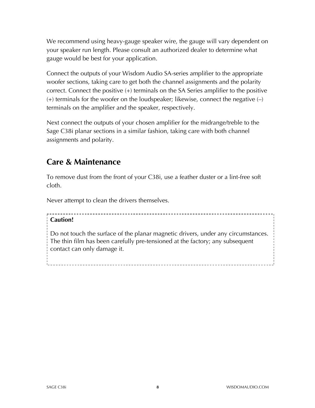We recommend using heavy-gauge speaker wire, the gauge will vary dependent on your speaker run length. Please consult an authorized dealer to determine what gauge would be best for your application.

Connect the outputs of your Wisdom Audio SA-series amplifier to the appropriate woofer sections, taking care to get both the channel assignments and the polarity correct. Connect the positive (+) terminals on the SA Series amplifier to the positive  $(+)$  terminals for the woofer on the loudspeaker; likewise, connect the negative  $(-)$ terminals on the amplifier and the speaker, respectively.

Next connect the outputs of your chosen amplifier for the midrange/treble to the Sage C38i planar sections in a similar fashion, taking care with both channel assignments and polarity.

### **Care & Maintenance**

To remove dust from the front of your C38i, use a feather duster or a lint-free soft cloth.

Never attempt to clean the drivers themselves.

#### **Caution!**

Do not touch the surface of the planar magnetic drivers, under any circumstances. The thin film has been carefully pre-tensioned at the factory; any subsequent contact can only damage it.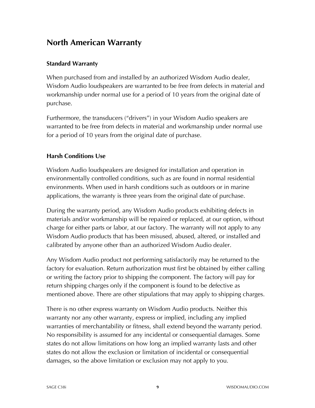### **North American Warranty**

#### **Standard Warranty**

When purchased from and installed by an authorized Wisdom Audio dealer, Wisdom Audio loudspeakers are warranted to be free from defects in material and workmanship under normal use for a period of 10 years from the original date of purchase.

Furthermore, the transducers ("drivers") in your Wisdom Audio speakers are warranted to be free from defects in material and workmanship under normal use for a period of 10 years from the original date of purchase.

#### **Harsh Conditions Use**

Wisdom Audio loudspeakers are designed for installation and operation in environmentally controlled conditions, such as are found in normal residential environments. When used in harsh conditions such as outdoors or in marine applications, the warranty is three years from the original date of purchase.

During the warranty period, any Wisdom Audio products exhibiting defects in materials and/or workmanship will be repaired or replaced, at our option, without charge for either parts or labor, at our factory. The warranty will not apply to any Wisdom Audio products that has been misused, abused, altered, or installed and calibrated by anyone other than an authorized Wisdom Audio dealer.

Any Wisdom Audio product not performing satisfactorily may be returned to the factory for evaluation. Return authorization must first be obtained by either calling or writing the factory prior to shipping the component. The factory will pay for return shipping charges only if the component is found to be defective as mentioned above. There are other stipulations that may apply to shipping charges.

There is no other express warranty on Wisdom Audio products. Neither this warranty nor any other warranty, express or implied, including any implied warranties of merchantability or fitness, shall extend beyond the warranty period. No responsibility is assumed for any incidental or consequential damages. Some states do not allow limitations on how long an implied warranty lasts and other states do not allow the exclusion or limitation of incidental or consequential damages, so the above limitation or exclusion may not apply to you.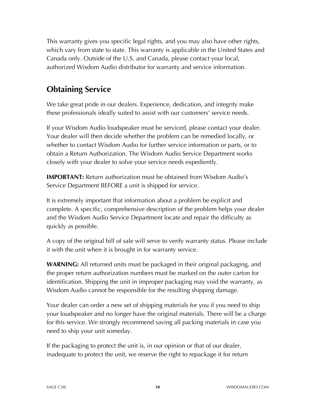This warranty gives you specific legal rights, and you may also have other rights, which vary from state to state. This warranty is applicable in the United States and Canada only. Outside of the U.S. and Canada, please contact your local, authorized Wisdom Audio distributor for warranty and service information.

# **Obtaining Service**

We take great pride in our dealers. Experience, dedication, and integrity make these professionals ideally suited to assist with our customers' service needs.

If your Wisdom Audio loudspeaker must be serviced, please contact your dealer. Your dealer will then decide whether the problem can be remedied locally, or whether to contact Wisdom Audio for further service information or parts, or to obtain a Return Authorization. The Wisdom Audio Service Department works closely with your dealer to solve your service needs expediently.

**IMPORTANT:** Return authorization must be obtained from Wisdom Audio's Service Department BEFORE a unit is shipped for service.

It is extremely important that information about a problem be explicit and complete. A specific, comprehensive description of the problem helps your dealer and the Wisdom Audio Service Department locate and repair the difficulty as quickly as possible.

A copy of the original bill of sale will serve to verify warranty status. Please include it with the unit when it is brought in for warranty service.

**WARNING:** All returned units must be packaged in their original packaging, and the proper return authorization numbers must be marked on the outer carton for identification. Shipping the unit in improper packaging may void the warranty, as Wisdom Audio cannot be responsible for the resulting shipping damage.

Your dealer can order a new set of shipping materials for you if you need to ship your loudspeaker and no longer have the original materials. There will be a charge for this service. We strongly recommend saving all packing materials in case you need to ship your unit someday.

If the packaging to protect the unit is, in our opinion or that of our dealer, inadequate to protect the unit, we reserve the right to repackage it for return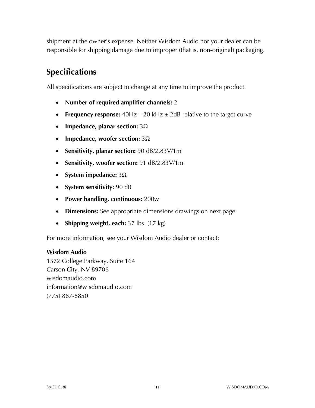shipment at the owner's expense. Neither Wisdom Audio nor your dealer can be responsible for shipping damage due to improper (that is, non-original) packaging.

# **Specifications**

All specifications are subject to change at any time to improve the product.

- **Number of required amplifier channels:** 2
- **Frequency response:** 40Hz 20 kHz  $\pm$  2dB relative to the target curve
- **Impedance, planar section:** 3Ω
- **Impedance, woofer section:** 3Ω
- **Sensitivity, planar section:** 90 dB/2.83V/1m
- **Sensitivity, woofer section:** 91 dB/2.83V/1m
- **System impedance:** 3Ω
- **System sensitivity:** 90 dB
- **Power handling, continuous:** 200w
- **Dimensions:** See appropriate dimensions drawings on next page
- **Shipping weight, each:** 37 lbs. (17 kg)

For more information, see your Wisdom Audio dealer or contact:

#### **Wisdom Audio**

1572 College Parkway, Suite 164 Carson City, NV 89706 wisdomaudio.com information@wisdomaudio.com (775) 887-8850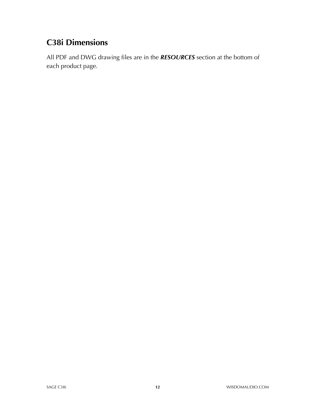# **C38i Dimensions**

All PDF and DWG drawing files are in the *RESOURCES* section at the bottom of each product page.